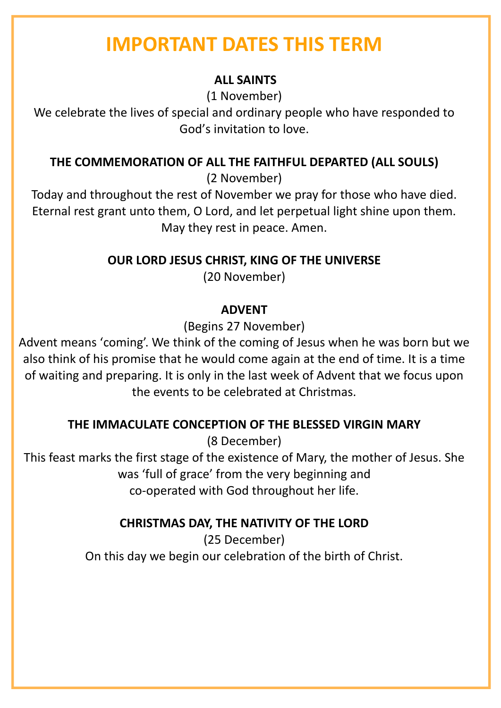# **IMPORTANT DATES THIS TERM**

### **ALL SAINTS**

(1 November)

We celebrate the lives of special and ordinary people who have responded to God's invitation to love.

### **THE COMMEMORATION OF ALL THE FAITHFUL DEPARTED (ALL SOULS)**

(2 November)

Today and throughout the rest of November we pray for those who have died. Eternal rest grant unto them, O Lord, and let perpetual light shine upon them. May they rest in peace. Amen.

**OUR LORD JESUS CHRIST, KING OF THE UNIVERSE**

(20 November)

## **ADVENT**

(Begins 27 November)

Advent means 'coming'. We think of the coming of Jesus when he was born but we also think of his promise that he would come again at the end of time. It is a time of waiting and preparing. It is only in the last week of Advent that we focus upon the events to be celebrated at Christmas.

## **THE IMMACULATE CONCEPTION OF THE BLESSED VIRGIN MARY**

(8 December)

This feast marks the first stage of the existence of Mary, the mother of Jesus. She was 'full of grace' from the very beginning and co-operated with God throughout her life.

# **CHRISTMAS DAY, THE NATIVITY OF THE LORD**

(25 December) On this day we begin our celebration of the birth of Christ.